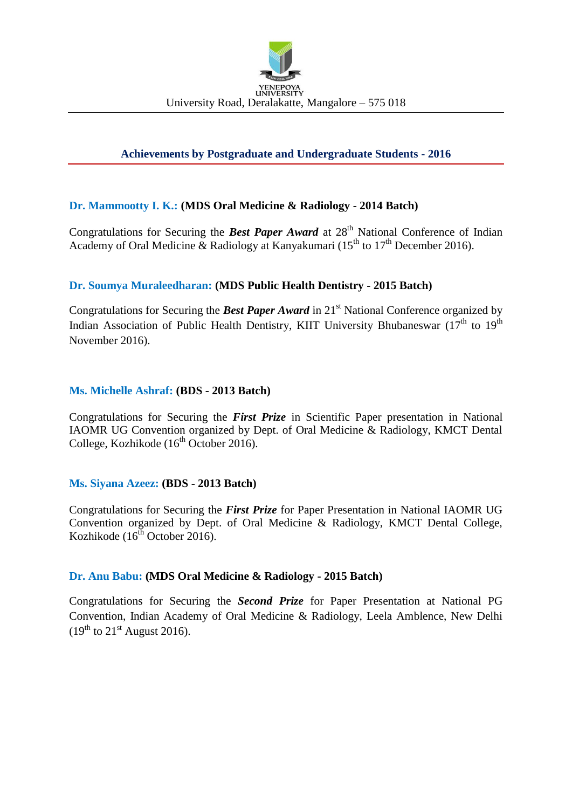

# **Achievements by Postgraduate and Undergraduate Students - 2016**

## **Dr. Mammootty I. K.: (MDS Oral Medicine & Radiology - 2014 Batch)**

Congratulations for Securing the **Best Paper Award** at 28<sup>th</sup> National Conference of Indian Academy of Oral Medicine & Radiology at Kanyakumari (15<sup>th</sup> to 17<sup>th</sup> December 2016).

## **Dr. Soumya Muraleedharan: (MDS Public Health Dentistry - 2015 Batch)**

Congratulations for Securing the **Best Paper Award** in 21<sup>st</sup> National Conference organized by Indian Association of Public Health Dentistry, KIIT University Bhubaneswar  $(17<sup>th</sup>$  to  $19<sup>th</sup>$ November 2016).

### **Ms. Michelle Ashraf: (BDS - 2013 Batch)**

Congratulations for Securing the *First Prize* in Scientific Paper presentation in National IAOMR UG Convention organized by Dept. of Oral Medicine & Radiology, KMCT Dental College, Kozhikode ( $16<sup>th</sup>$  October 2016).

#### **Ms. Siyana Azeez: (BDS - 2013 Batch)**

Congratulations for Securing the *First Prize* for Paper Presentation in National IAOMR UG Convention organized by Dept. of Oral Medicine & Radiology, KMCT Dental College, Kozhikode  $(16^{th}$  October 2016).

#### **Dr. Anu Babu: (MDS Oral Medicine & Radiology - 2015 Batch)**

Congratulations for Securing the *Second Prize* for Paper Presentation at National PG Convention, Indian Academy of Oral Medicine & Radiology, Leela Amblence, New Delhi  $(19^{th}$  to  $21^{st}$  August 2016).